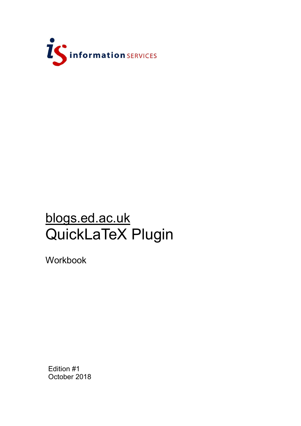

# blogs.ed.ac.uk QuickLaTeX Plugin

Workbook

Edition #1 October 2018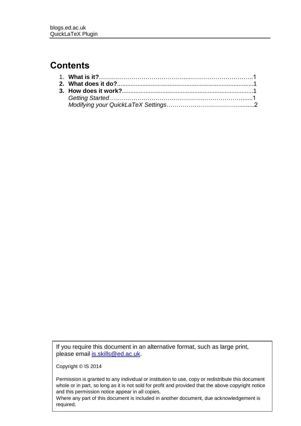## **Contents**

If you require this document in an alternative format, such as large print, please email [is.skills@ed.ac.uk.](mailto:is.skills@ed.ac.uk)

Copyright © IS 2014

Permission is granted to any individual or institution to use, copy or redistribute this document whole or in part, so long as it is not sold for profit and provided that the above copyright notice and this permission notice appear in all copies.

Where any part of this document is included in another document, due acknowledgement is required.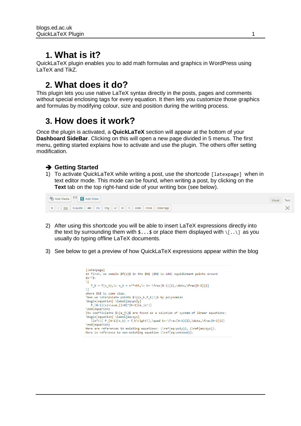#### **1. What is it?**

QuickLaTeX plugin enables you to add math formulas and graphics in WordPress using LaTeX and TikZ.

## **2. What does it do?**

This plugin lets you use native LaTeX syntax directly in the posts, pages and comments without special enclosing tags for every equation. It then lets you customize those graphics and formulas by modifying colour, size and position during the writing process.

#### **3. How does it work?**

Once the plugin is activated, a **QuickLaTeX** section will appear at the bottom of your **Dashboard SideBar**. Clicking on this will open a new page divided in 5 menus. The first menu, getting started explains how to activate and use the plugin. The others offer setting modification.

#### ➔ **Getting Started**

1) To activate QuickLaTeX while writing a post, use the shortcode [latexpage] when in text editor mode. This mode can be found, when writing a post, by clicking on the **Text** tab on the top right-hand side of your writing box (see below).



- 2) After using this shortcode you will be able to insert LaTeX expressions directly into the text by surrounding them with  $\frac{1}{2}...$  or place them displayed with  $\frac{1}{2}$ .  $\frac{1}{3}$  as you usually do typing offline LaTeX documents.
- 3) See below to get a preview of how QuickLaTeX expressions appear within the blog

```
[latexpage]
At first, we sample f(x)$ in the $N$ ($N$ is odd) equidistant points around
Sx^{\wedge *}\$:
M
   f_k = f(x_k), \; x_k = x^*+kh, \; k=-\frac{N-1}{2}, \dots, \frac{N-1}{2}\mathbf{V}where $h$ is some step.
Then we interpolate points \{\langle x_k, f_k \rangle\} by polynomial
\begin{equation} \label{eq:poly}
   P_{N-1}(x) = \sum_{j=0}^{N-1} (N-1)(a_jx^j)\end{equation}
Its coefficients $\{a_j\}$ are found as a solution of system of linear equations:
\begin{equation} \label{eq:sys}
   \left\{ P_{N-1}(x_k) = f_k\right\},\quad k=-\frac{N-1}{2},\dots,\frac{N-1}{2}
\end{equation}
Here are references to existing equations: (\ref{eq:poly}), (\ref{eq:sys}).
Here is reference to non-existing equation (\ref{eq:unknown}).
```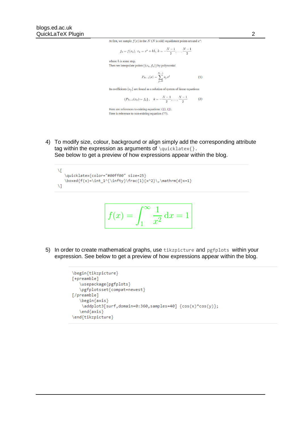At first, we sample  $f(x)$  in the  $N$  ( $N$  is odd) equidistant points around  $x^*$ :

$$
f_k = f(x_k), x_k = x^* + kh, k = -\frac{N-1}{2}, \ldots, \frac{N-1}{2}
$$

where  $h$  is some step. Then we interpolate points  $\{(x_k, f_k)\}\$  by polynomial

$$
P_{N-1}(x) = \sum_{j=0}^{N-1} a_j x^j
$$
 (1)

Its coefficients  $\{a_i\}$  are found as a solution of system of linear equations:

$$
\{P_{N-1}(x_k) = f_k\}, \quad k = -\frac{N-1}{2}, \dots, \frac{N-1}{2} \tag{2}
$$

Here are references to existing equations:  $(1)$ ,  $(2)$ . Here is reference to non-existing equation (??).

4) To modify size, colour, background or align simply add the corresponding attribute tag within the expression as arguments of  $\quotimes \lceil \cdot \frac{1}{1 - \frac{1}{1 - \frac{1}{1 - \frac{1}{1 - \frac{1}{1 - \frac{1}{1 - \frac{1}{1 - \frac{1}{1 - \frac{1}{1 - \frac{1}{1 - \frac{1}{1 - \frac{1}{1 - \frac{1}{1 - \frac{1}{1 - \frac{1}{1 - \frac{1}{1 - \frac{1}{1 - \frac{1}{1 - \frac{1}{1 - \frac{1}{1 - \frac{1}{1 - \frac{1}{1 - \frac{1}{1 - \frac{1}{1 - \$ See below to get a preview of how expressions appear within the blog.

$$
f(x) = \int_1^{\infty} \frac{1}{x^2} dx = 1
$$

5) In order to create mathematical graphs, use tikzpicture and pgfplots within your expression. See below to get a preview of how expressions appear within the blog.

```
\begin{tikzpicture}
[+preamble]
   \usepackage{pgfplots}
   \pgfplotsset{compat=newest}
[/preamble]
   \begin{axis}
   \addplot3[surf,domain=0:360,samples=40] {cos(x)*cos(y)};
   \end{axis}
\end{tikzpicture}
```